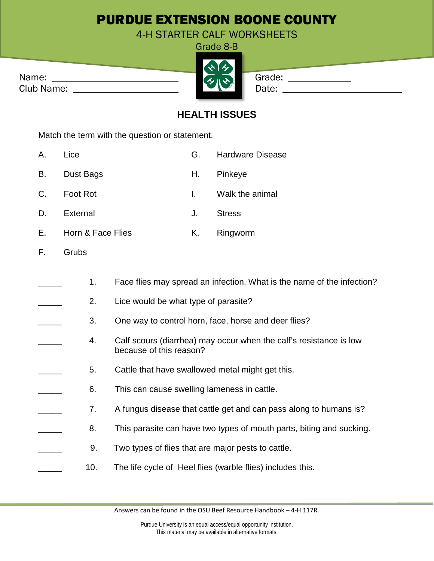## PURDUE EXTENSION BOONE COUNTY

4-H STARTER CALF WORKSHEETS Crade 8-B

|            | $\mathbf{v}$            |        |
|------------|-------------------------|--------|
| Name:      | $\lambda$ u $\lambda$ l | Grade: |
| Club Name: |                         | Date:  |

| uraut<br>D<br>- |  |
|-----------------|--|
|                 |  |
|                 |  |
|                 |  |
|                 |  |
|                 |  |
|                 |  |

|   | irade: |
|---|--------|
| . |        |

| Grade: |  |
|--------|--|
| Date:  |  |

## **HEALTH ISSUES**

Match the term with the question or statement.

| Α. | Lice        | G. | <b>Hardware Disease</b> |
|----|-------------|----|-------------------------|
| B. | Dust Bags   |    | H. Pinkeye              |
|    | C. Foot Rot |    | I. Walk the animal      |
| D. | External    | J. | Stress                  |
|    |             |    |                         |

- E. Horn & Face Flies **K.** Ringworm
- F. Grubs
	- 1. Face flies may spread an infection. What is the name of the infection?
	- 2. Lice would be what type of parasite?
	- 3. One way to control horn, face, horse and deer flies?
	- 4. Calf scours (diarrhea) may occur when the calf's resistance is low because of this reason?
	- 5. Cattle that have swallowed metal might get this.
	- 6. This can cause swelling lameness in cattle.
	- 7. A fungus disease that cattle get and can pass along to humans is?
	- 8. This parasite can have two types of mouth parts, biting and sucking.
		- 9. Two types of flies that are major pests to cattle.
		- 10. The life cycle of Heel flies (warble flies) includes this.